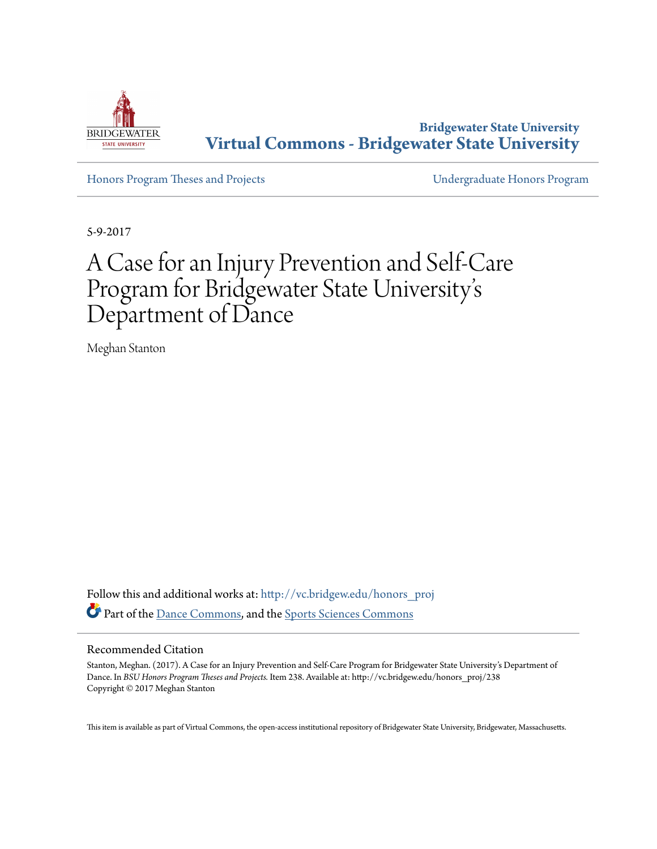

**Bridgewater State University [Virtual Commons - Bridgewater State University](http://vc.bridgew.edu?utm_source=vc.bridgew.edu%2Fhonors_proj%2F238&utm_medium=PDF&utm_campaign=PDFCoverPages)**

[Honors Program Theses and Projects](http://vc.bridgew.edu/honors_proj?utm_source=vc.bridgew.edu%2Fhonors_proj%2F238&utm_medium=PDF&utm_campaign=PDFCoverPages) [Undergraduate Honors Program](http://vc.bridgew.edu/honors?utm_source=vc.bridgew.edu%2Fhonors_proj%2F238&utm_medium=PDF&utm_campaign=PDFCoverPages)

5-9-2017

# A Case for an Injury Prevention and Self-Care Program for Bridgewater State University s י<br>' י Department of Dance

Meghan Stanton

Follow this and additional works at: [http://vc.bridgew.edu/honors\\_proj](http://vc.bridgew.edu/honors_proj?utm_source=vc.bridgew.edu%2Fhonors_proj%2F238&utm_medium=PDF&utm_campaign=PDFCoverPages) Part of the [Dance Commons,](http://network.bepress.com/hgg/discipline/554?utm_source=vc.bridgew.edu%2Fhonors_proj%2F238&utm_medium=PDF&utm_campaign=PDFCoverPages) and the [Sports Sciences Commons](http://network.bepress.com/hgg/discipline/759?utm_source=vc.bridgew.edu%2Fhonors_proj%2F238&utm_medium=PDF&utm_campaign=PDFCoverPages)

#### Recommended Citation

Stanton, Meghan. (2017). A Case for an Injury Prevention and Self-Care Program for Bridgewater State University's Department of Dance. In *BSU Honors Program Theses and Projects.* Item 238. Available at: http://vc.bridgew.edu/honors\_proj/238 Copyright © 2017 Meghan Stanton

This item is available as part of Virtual Commons, the open-access institutional repository of Bridgewater State University, Bridgewater, Massachusetts.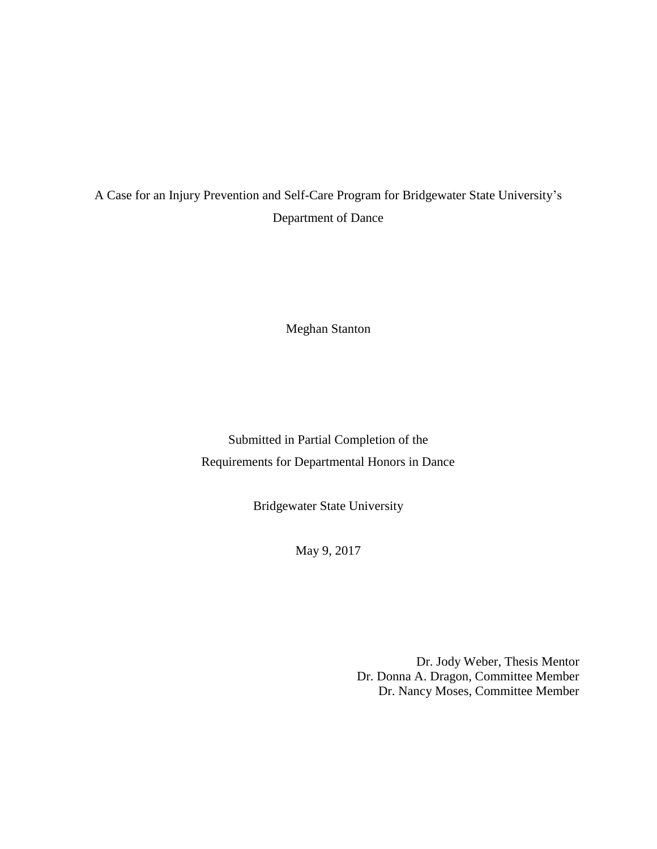## A Case for an Injury Prevention and Self-Care Program for Bridgewater State University's Department of Dance

Meghan Stanton

Submitted in Partial Completion of the Requirements for Departmental Honors in Dance

Bridgewater State University

May 9, 2017

Dr. Jody Weber, Thesis Mentor Dr. Donna A. Dragon, Committee Member Dr. Nancy Moses, Committee Member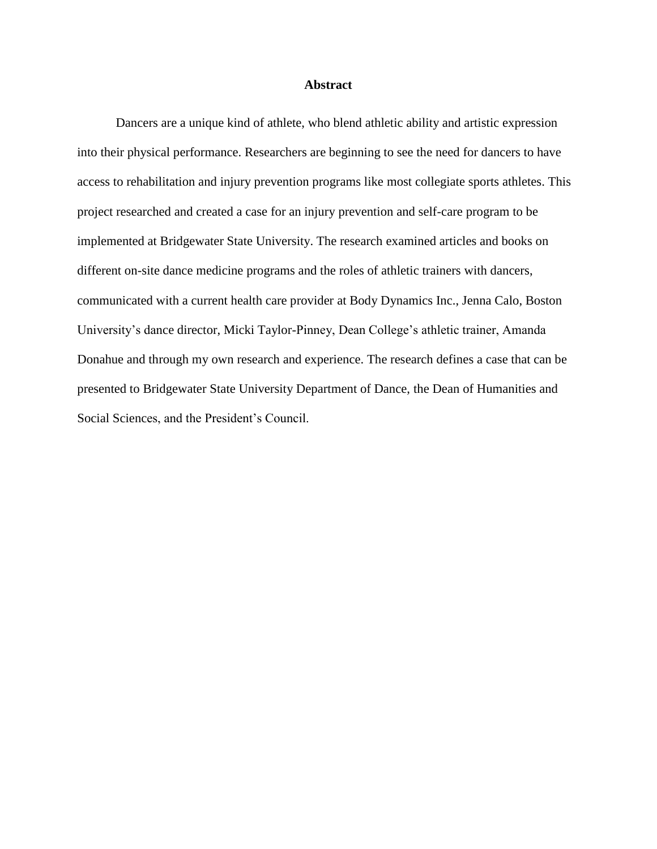#### **Abstract**

Dancers are a unique kind of athlete, who blend athletic ability and artistic expression into their physical performance. Researchers are beginning to see the need for dancers to have access to rehabilitation and injury prevention programs like most collegiate sports athletes. This project researched and created a case for an injury prevention and self-care program to be implemented at Bridgewater State University. The research examined articles and books on different on-site dance medicine programs and the roles of athletic trainers with dancers, communicated with a current health care provider at Body Dynamics Inc., Jenna Calo, Boston University's dance director, Micki Taylor-Pinney, Dean College's athletic trainer, Amanda Donahue and through my own research and experience. The research defines a case that can be presented to Bridgewater State University Department of Dance, the Dean of Humanities and Social Sciences, and the President's Council.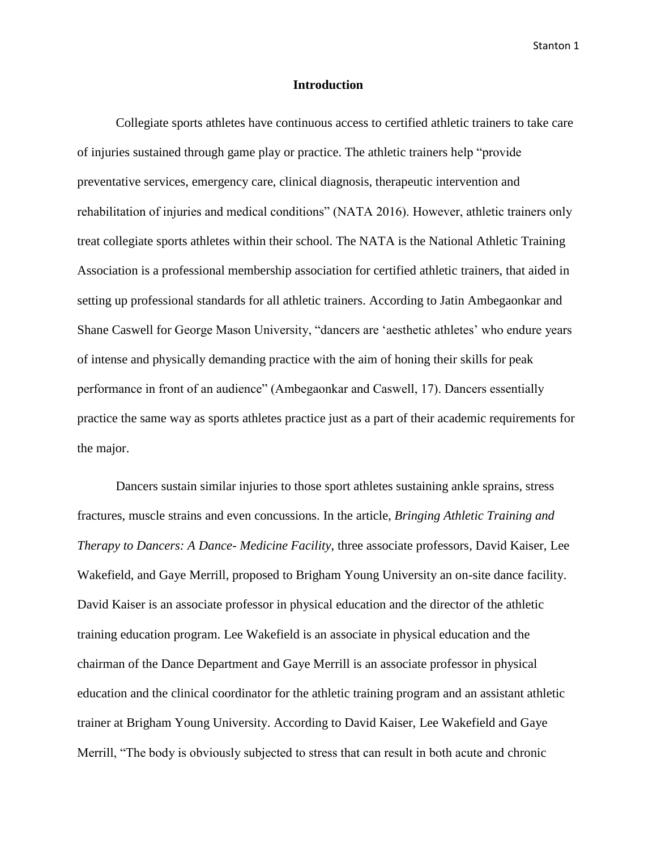#### **Introduction**

Collegiate sports athletes have continuous access to certified athletic trainers to take care of injuries sustained through game play or practice. The athletic trainers help "provide preventative services, emergency care, clinical diagnosis, therapeutic intervention and rehabilitation of injuries and medical conditions" (NATA 2016). However, athletic trainers only treat collegiate sports athletes within their school. The NATA is the National Athletic Training Association is a professional membership association for certified athletic trainers, that aided in setting up professional standards for all athletic trainers. According to Jatin Ambegaonkar and Shane Caswell for George Mason University, "dancers are 'aesthetic athletes' who endure years of intense and physically demanding practice with the aim of honing their skills for peak performance in front of an audience" (Ambegaonkar and Caswell, 17). Dancers essentially practice the same way as sports athletes practice just as a part of their academic requirements for the major.

Dancers sustain similar injuries to those sport athletes sustaining ankle sprains, stress fractures, muscle strains and even concussions. In the article, *Bringing Athletic Training and Therapy to Dancers: A Dance- Medicine Facility*, three associate professors, David Kaiser, Lee Wakefield, and Gaye Merrill, proposed to Brigham Young University an on-site dance facility. David Kaiser is an associate professor in physical education and the director of the athletic training education program. Lee Wakefield is an associate in physical education and the chairman of the Dance Department and Gaye Merrill is an associate professor in physical education and the clinical coordinator for the athletic training program and an assistant athletic trainer at Brigham Young University. According to David Kaiser, Lee Wakefield and Gaye Merrill, "The body is obviously subjected to stress that can result in both acute and chronic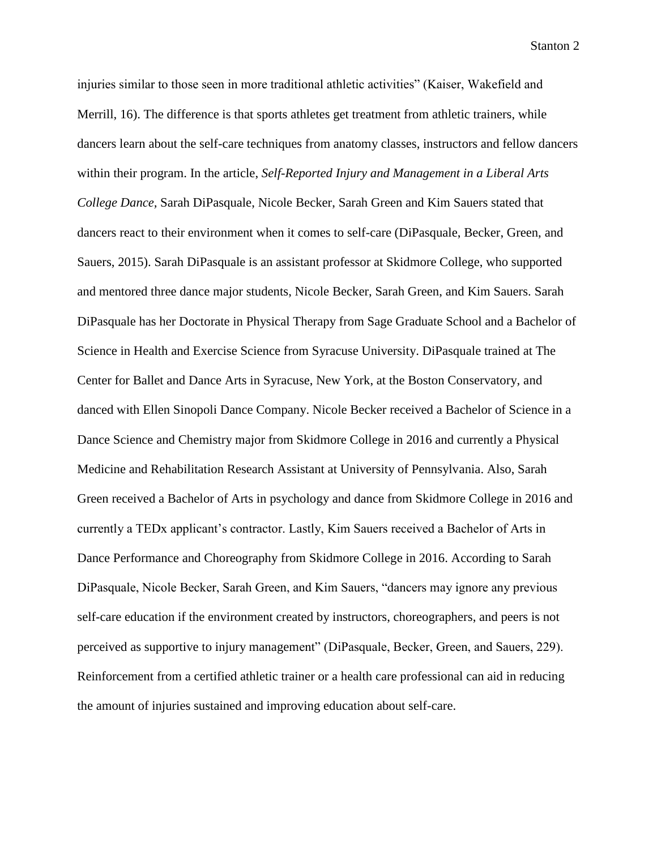injuries similar to those seen in more traditional athletic activities" (Kaiser, Wakefield and Merrill, 16). The difference is that sports athletes get treatment from athletic trainers, while dancers learn about the self-care techniques from anatomy classes, instructors and fellow dancers within their program. In the article, *Self-Reported Injury and Management in a Liberal Arts College Dance,* Sarah DiPasquale, Nicole Becker, Sarah Green and Kim Sauers stated that dancers react to their environment when it comes to self-care (DiPasquale, Becker, Green, and Sauers, 2015). Sarah DiPasquale is an assistant professor at Skidmore College, who supported and mentored three dance major students, Nicole Becker, Sarah Green, and Kim Sauers. Sarah DiPasquale has her Doctorate in Physical Therapy from Sage Graduate School and a Bachelor of Science in Health and Exercise Science from Syracuse University. DiPasquale trained at The Center for Ballet and Dance Arts in Syracuse, New York, at the Boston Conservatory, and danced with Ellen Sinopoli Dance Company. Nicole Becker received a Bachelor of Science in a Dance Science and Chemistry major from Skidmore College in 2016 and currently a Physical Medicine and Rehabilitation Research Assistant at University of Pennsylvania. Also, Sarah Green received a Bachelor of Arts in psychology and dance from Skidmore College in 2016 and currently a TEDx applicant's contractor. Lastly, Kim Sauers received a Bachelor of Arts in Dance Performance and Choreography from Skidmore College in 2016. According to Sarah DiPasquale, Nicole Becker, Sarah Green, and Kim Sauers, "dancers may ignore any previous self-care education if the environment created by instructors, choreographers, and peers is not perceived as supportive to injury management" (DiPasquale, Becker, Green, and Sauers, 229). Reinforcement from a certified athletic trainer or a health care professional can aid in reducing the amount of injuries sustained and improving education about self-care.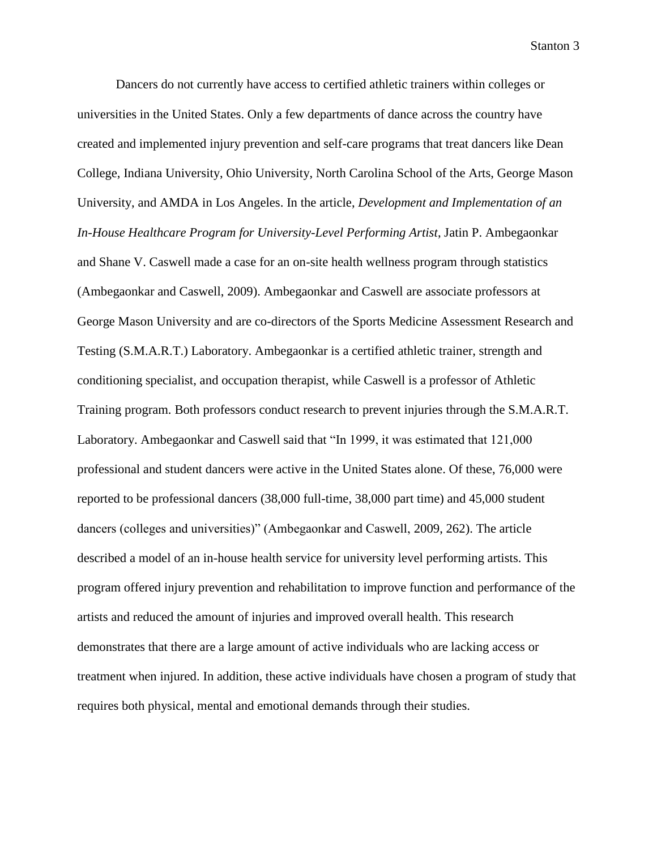Dancers do not currently have access to certified athletic trainers within colleges or universities in the United States. Only a few departments of dance across the country have created and implemented injury prevention and self-care programs that treat dancers like Dean College, Indiana University, Ohio University, North Carolina School of the Arts, George Mason University, and AMDA in Los Angeles. In the article, *Development and Implementation of an In-House Healthcare Program for University-Level Performing Artist*, Jatin P. Ambegaonkar and Shane V. Caswell made a case for an on-site health wellness program through statistics (Ambegaonkar and Caswell, 2009). Ambegaonkar and Caswell are associate professors at George Mason University and are co-directors of the Sports Medicine Assessment Research and Testing (S.M.A.R.T.) Laboratory. Ambegaonkar is a certified athletic trainer, strength and conditioning specialist, and occupation therapist, while Caswell is a professor of Athletic Training program. Both professors conduct research to prevent injuries through the S.M.A.R.T. Laboratory. Ambegaonkar and Caswell said that "In 1999, it was estimated that 121,000 professional and student dancers were active in the United States alone. Of these, 76,000 were reported to be professional dancers (38,000 full-time, 38,000 part time) and 45,000 student dancers (colleges and universities)" (Ambegaonkar and Caswell, 2009, 262). The article described a model of an in-house health service for university level performing artists. This program offered injury prevention and rehabilitation to improve function and performance of the artists and reduced the amount of injuries and improved overall health. This research demonstrates that there are a large amount of active individuals who are lacking access or treatment when injured. In addition, these active individuals have chosen a program of study that requires both physical, mental and emotional demands through their studies.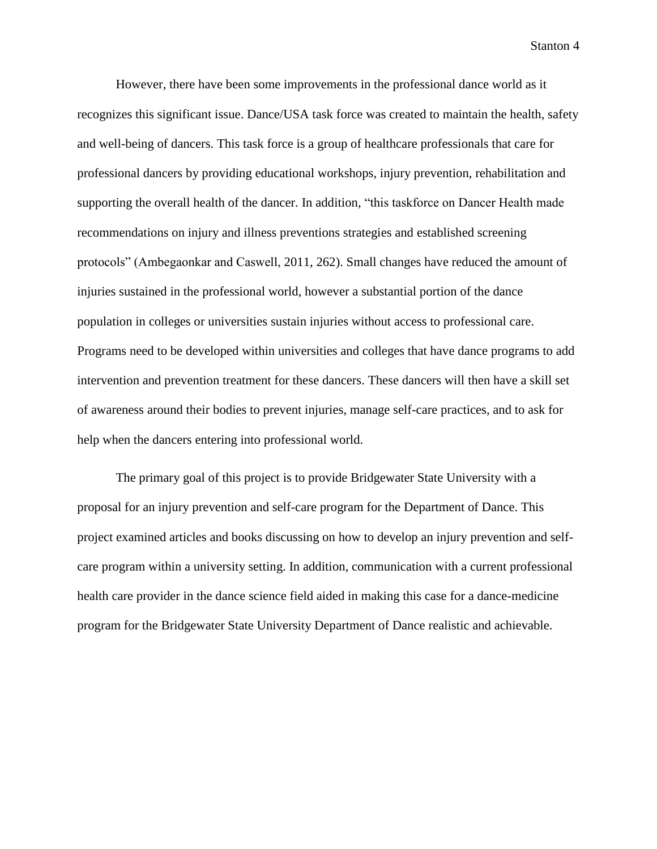However, there have been some improvements in the professional dance world as it recognizes this significant issue. Dance/USA task force was created to maintain the health, safety and well-being of dancers. This task force is a group of healthcare professionals that care for professional dancers by providing educational workshops, injury prevention, rehabilitation and supporting the overall health of the dancer. In addition, "this taskforce on Dancer Health made recommendations on injury and illness preventions strategies and established screening protocols" (Ambegaonkar and Caswell, 2011, 262). Small changes have reduced the amount of injuries sustained in the professional world, however a substantial portion of the dance population in colleges or universities sustain injuries without access to professional care. Programs need to be developed within universities and colleges that have dance programs to add intervention and prevention treatment for these dancers. These dancers will then have a skill set of awareness around their bodies to prevent injuries, manage self-care practices, and to ask for help when the dancers entering into professional world.

The primary goal of this project is to provide Bridgewater State University with a proposal for an injury prevention and self-care program for the Department of Dance. This project examined articles and books discussing on how to develop an injury prevention and selfcare program within a university setting. In addition, communication with a current professional health care provider in the dance science field aided in making this case for a dance-medicine program for the Bridgewater State University Department of Dance realistic and achievable.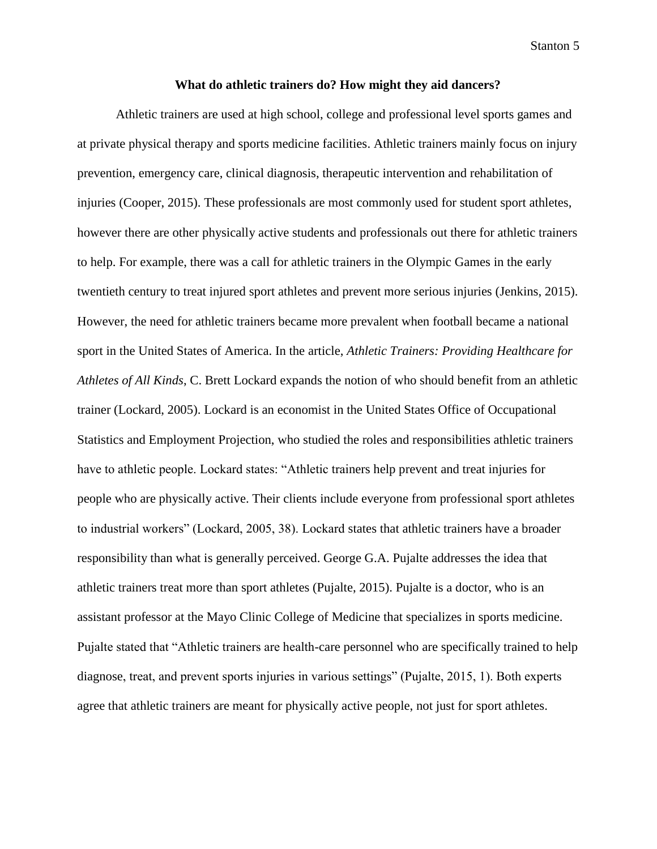#### **What do athletic trainers do? How might they aid dancers?**

Athletic trainers are used at high school, college and professional level sports games and at private physical therapy and sports medicine facilities. Athletic trainers mainly focus on injury prevention, emergency care, clinical diagnosis, therapeutic intervention and rehabilitation of injuries (Cooper, 2015). These professionals are most commonly used for student sport athletes, however there are other physically active students and professionals out there for athletic trainers to help. For example, there was a call for athletic trainers in the Olympic Games in the early twentieth century to treat injured sport athletes and prevent more serious injuries (Jenkins, 2015). However, the need for athletic trainers became more prevalent when football became a national sport in the United States of America. In the article, *Athletic Trainers: Providing Healthcare for Athletes of All Kinds*, C. Brett Lockard expands the notion of who should benefit from an athletic trainer (Lockard, 2005). Lockard is an economist in the United States Office of Occupational Statistics and Employment Projection, who studied the roles and responsibilities athletic trainers have to athletic people. Lockard states: "Athletic trainers help prevent and treat injuries for people who are physically active. Their clients include everyone from professional sport athletes to industrial workers" (Lockard, 2005, 38). Lockard states that athletic trainers have a broader responsibility than what is generally perceived. George G.A. Pujalte addresses the idea that athletic trainers treat more than sport athletes (Pujalte, 2015). Pujalte is a doctor, who is an assistant professor at the Mayo Clinic College of Medicine that specializes in sports medicine. Pujalte stated that "Athletic trainers are health-care personnel who are specifically trained to help diagnose, treat, and prevent sports injuries in various settings" (Pujalte, 2015, 1). Both experts agree that athletic trainers are meant for physically active people, not just for sport athletes.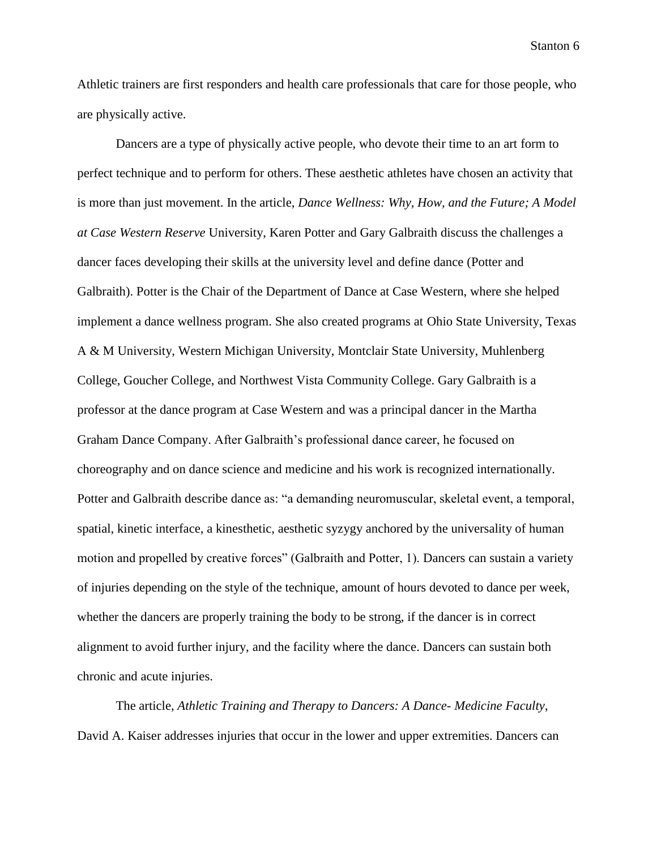Athletic trainers are first responders and health care professionals that care for those people, who are physically active.

Dancers are a type of physically active people, who devote their time to an art form to perfect technique and to perform for others. These aesthetic athletes have chosen an activity that is more than just movement. In the article, *Dance Wellness: Why, How, and the Future; A Model at Case Western Reserve* University, Karen Potter and Gary Galbraith discuss the challenges a dancer faces developing their skills at the university level and define dance (Potter and Galbraith). Potter is the Chair of the Department of Dance at Case Western, where she helped implement a dance wellness program. She also created programs at Ohio State University, Texas A & M University, Western Michigan University, Montclair State University, Muhlenberg College, Goucher College, and Northwest Vista Community College. Gary Galbraith is a professor at the dance program at Case Western and was a principal dancer in the Martha Graham Dance Company. After Galbraith's professional dance career, he focused on choreography and on dance science and medicine and his work is recognized internationally. Potter and Galbraith describe dance as: "a demanding neuromuscular, skeletal event, a temporal, spatial, kinetic interface, a kinesthetic, aesthetic syzygy anchored by the universality of human motion and propelled by creative forces" (Galbraith and Potter, 1). Dancers can sustain a variety of injuries depending on the style of the technique, amount of hours devoted to dance per week, whether the dancers are properly training the body to be strong, if the dancer is in correct alignment to avoid further injury, and the facility where the dance. Dancers can sustain both chronic and acute injuries.

The article, *Athletic Training and Therapy to Dancers: A Dance- Medicine Faculty*, David A. Kaiser addresses injuries that occur in the lower and upper extremities. Dancers can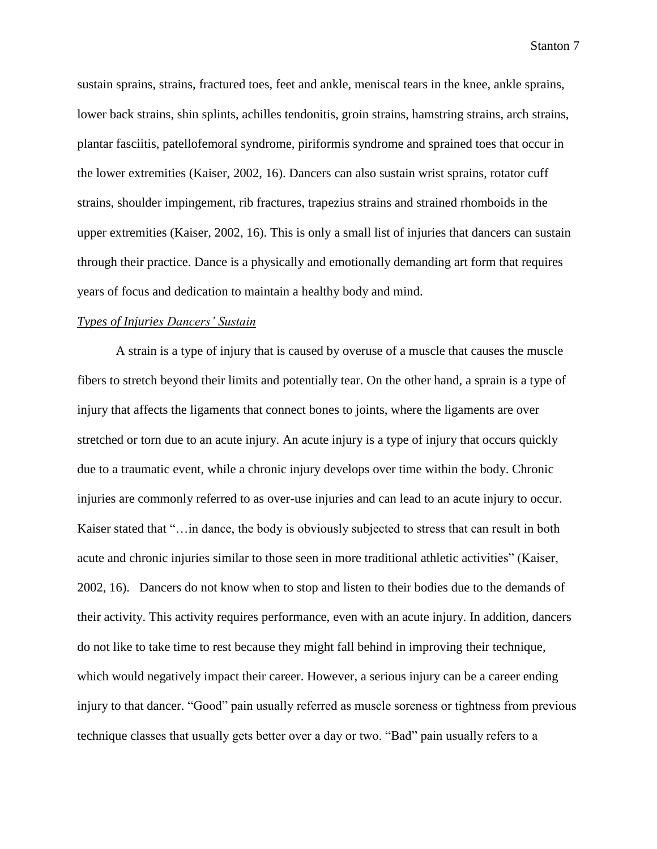sustain sprains, strains, fractured toes, feet and ankle, meniscal tears in the knee, ankle sprains, lower back strains, shin splints, achilles tendonitis, groin strains, hamstring strains, arch strains, plantar fasciitis, patellofemoral syndrome, piriformis syndrome and sprained toes that occur in the lower extremities (Kaiser, 2002, 16). Dancers can also sustain wrist sprains, rotator cuff strains, shoulder impingement, rib fractures, trapezius strains and strained rhomboids in the upper extremities (Kaiser, 2002, 16). This is only a small list of injuries that dancers can sustain through their practice. Dance is a physically and emotionally demanding art form that requires years of focus and dedication to maintain a healthy body and mind.

#### *Types of Injuries Dancers' Sustain*

A strain is a type of injury that is caused by overuse of a muscle that causes the muscle fibers to stretch beyond their limits and potentially tear. On the other hand, a sprain is a type of injury that affects the ligaments that connect bones to joints, where the ligaments are over stretched or torn due to an acute injury. An acute injury is a type of injury that occurs quickly due to a traumatic event, while a chronic injury develops over time within the body. Chronic injuries are commonly referred to as over-use injuries and can lead to an acute injury to occur. Kaiser stated that "…in dance, the body is obviously subjected to stress that can result in both acute and chronic injuries similar to those seen in more traditional athletic activities" (Kaiser, 2002, 16). Dancers do not know when to stop and listen to their bodies due to the demands of their activity. This activity requires performance, even with an acute injury. In addition, dancers do not like to take time to rest because they might fall behind in improving their technique, which would negatively impact their career. However, a serious injury can be a career ending injury to that dancer. "Good" pain usually referred as muscle soreness or tightness from previous technique classes that usually gets better over a day or two. "Bad" pain usually refers to a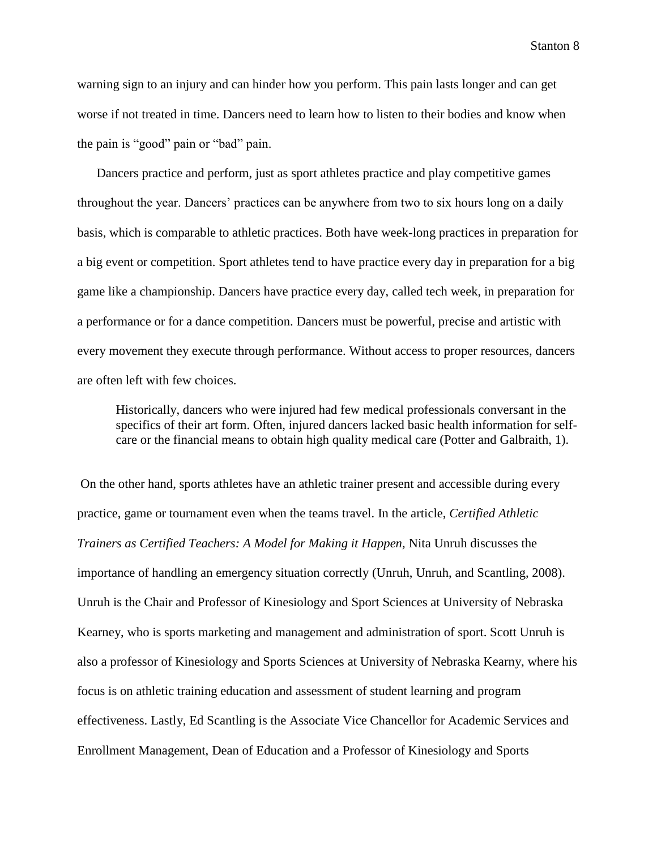warning sign to an injury and can hinder how you perform. This pain lasts longer and can get worse if not treated in time. Dancers need to learn how to listen to their bodies and know when the pain is "good" pain or "bad" pain.

Dancers practice and perform, just as sport athletes practice and play competitive games throughout the year. Dancers' practices can be anywhere from two to six hours long on a daily basis, which is comparable to athletic practices. Both have week-long practices in preparation for a big event or competition. Sport athletes tend to have practice every day in preparation for a big game like a championship. Dancers have practice every day, called tech week, in preparation for a performance or for a dance competition. Dancers must be powerful, precise and artistic with every movement they execute through performance. Without access to proper resources, dancers are often left with few choices.

Historically, dancers who were injured had few medical professionals conversant in the specifics of their art form. Often, injured dancers lacked basic health information for selfcare or the financial means to obtain high quality medical care (Potter and Galbraith, 1).

On the other hand, sports athletes have an athletic trainer present and accessible during every practice, game or tournament even when the teams travel. In the article, *Certified Athletic Trainers as Certified Teachers: A Model for Making it Happen,* Nita Unruh discusses the importance of handling an emergency situation correctly (Unruh, Unruh, and Scantling, 2008). Unruh is the Chair and Professor of Kinesiology and Sport Sciences at University of Nebraska Kearney, who is sports marketing and management and administration of sport. Scott Unruh is also a professor of Kinesiology and Sports Sciences at University of Nebraska Kearny, where his focus is on athletic training education and assessment of student learning and program effectiveness. Lastly, Ed Scantling is the Associate Vice Chancellor for Academic Services and Enrollment Management, Dean of Education and a Professor of Kinesiology and Sports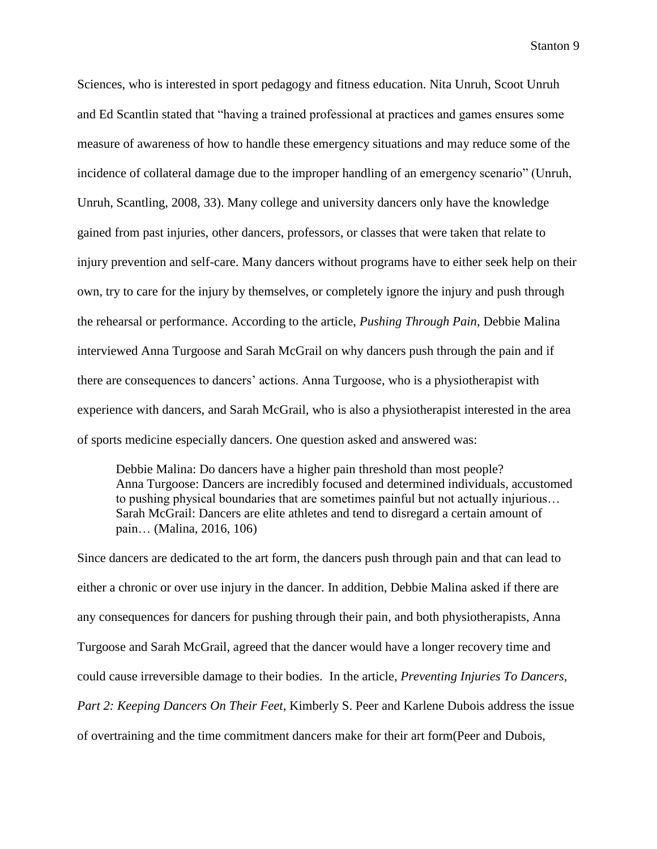Sciences, who is interested in sport pedagogy and fitness education. Nita Unruh, Scoot Unruh and Ed Scantlin stated that "having a trained professional at practices and games ensures some measure of awareness of how to handle these emergency situations and may reduce some of the incidence of collateral damage due to the improper handling of an emergency scenario" (Unruh, Unruh, Scantling, 2008, 33). Many college and university dancers only have the knowledge gained from past injuries, other dancers, professors, or classes that were taken that relate to injury prevention and self-care. Many dancers without programs have to either seek help on their own, try to care for the injury by themselves, or completely ignore the injury and push through the rehearsal or performance. According to the article, *Pushing Through Pain*, Debbie Malina interviewed Anna Turgoose and Sarah McGrail on why dancers push through the pain and if there are consequences to dancers' actions. Anna Turgoose, who is a physiotherapist with experience with dancers, and Sarah McGrail, who is also a physiotherapist interested in the area of sports medicine especially dancers. One question asked and answered was:

Debbie Malina: Do dancers have a higher pain threshold than most people? Anna Turgoose: Dancers are incredibly focused and determined individuals, accustomed to pushing physical boundaries that are sometimes painful but not actually injurious… Sarah McGrail: Dancers are elite athletes and tend to disregard a certain amount of pain… (Malina, 2016, 106)

Since dancers are dedicated to the art form, the dancers push through pain and that can lead to either a chronic or over use injury in the dancer. In addition, Debbie Malina asked if there are any consequences for dancers for pushing through their pain, and both physiotherapists, Anna Turgoose and Sarah McGrail, agreed that the dancer would have a longer recovery time and could cause irreversible damage to their bodies. In the article, *Preventing Injuries To Dancers, Part 2: Keeping Dancers On Their Feet*, Kimberly S. Peer and Karlene Dubois address the issue of overtraining and the time commitment dancers make for their art form(Peer and Dubois,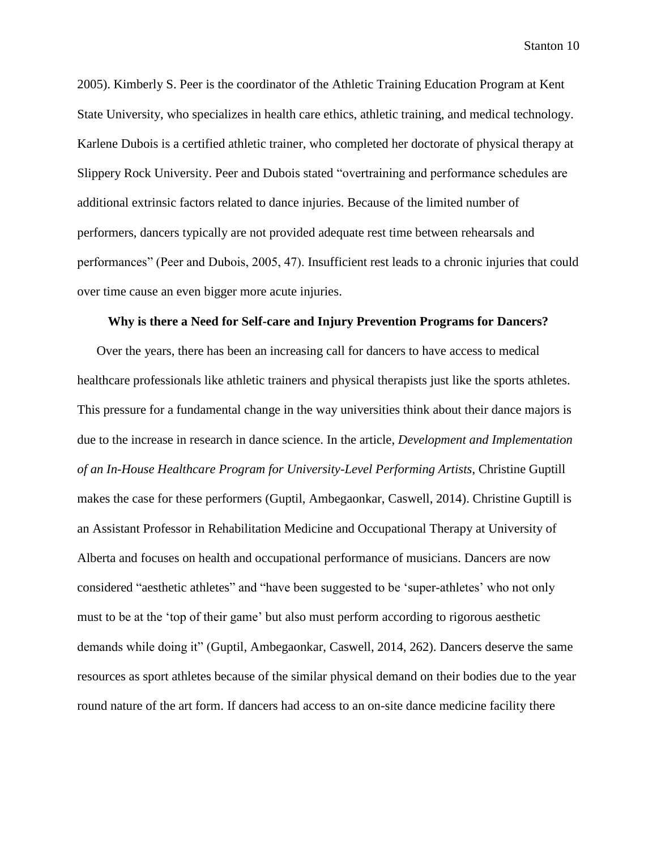2005). Kimberly S. Peer is the coordinator of the Athletic Training Education Program at Kent State University, who specializes in health care ethics, athletic training, and medical technology. Karlene Dubois is a certified athletic trainer, who completed her doctorate of physical therapy at Slippery Rock University. Peer and Dubois stated "overtraining and performance schedules are additional extrinsic factors related to dance injuries. Because of the limited number of performers, dancers typically are not provided adequate rest time between rehearsals and performances" (Peer and Dubois, 2005, 47). Insufficient rest leads to a chronic injuries that could over time cause an even bigger more acute injuries.

### **Why is there a Need for Self-care and Injury Prevention Programs for Dancers?**

Over the years, there has been an increasing call for dancers to have access to medical healthcare professionals like athletic trainers and physical therapists just like the sports athletes. This pressure for a fundamental change in the way universities think about their dance majors is due to the increase in research in dance science. In the article, *Development and Implementation of an In-House Healthcare Program for University-Level Performing Artists*, Christine Guptill makes the case for these performers (Guptil, Ambegaonkar, Caswell, 2014). Christine Guptill is an Assistant Professor in Rehabilitation Medicine and Occupational Therapy at University of Alberta and focuses on health and occupational performance of musicians. Dancers are now considered "aesthetic athletes" and "have been suggested to be 'super-athletes' who not only must to be at the 'top of their game' but also must perform according to rigorous aesthetic demands while doing it" (Guptil, Ambegaonkar, Caswell, 2014, 262). Dancers deserve the same resources as sport athletes because of the similar physical demand on their bodies due to the year round nature of the art form. If dancers had access to an on-site dance medicine facility there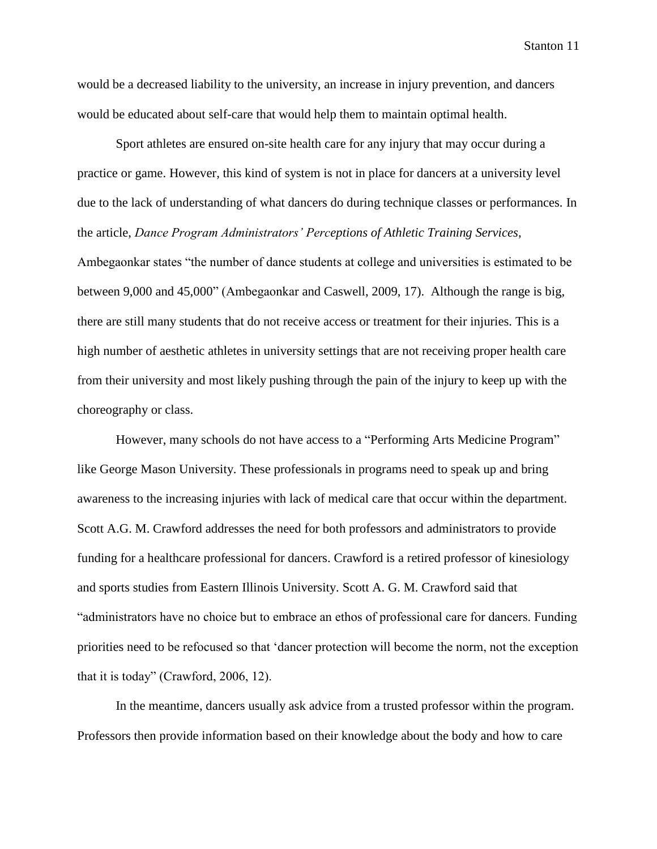would be a decreased liability to the university, an increase in injury prevention, and dancers would be educated about self-care that would help them to maintain optimal health.

Sport athletes are ensured on-site health care for any injury that may occur during a practice or game. However, this kind of system is not in place for dancers at a university level due to the lack of understanding of what dancers do during technique classes or performances. In the article, *Dance Program Administrators' Perceptions of Athletic Training Services*, Ambegaonkar states "the number of dance students at college and universities is estimated to be between 9,000 and 45,000" (Ambegaonkar and Caswell, 2009, 17). Although the range is big, there are still many students that do not receive access or treatment for their injuries. This is a high number of aesthetic athletes in university settings that are not receiving proper health care from their university and most likely pushing through the pain of the injury to keep up with the choreography or class.

However, many schools do not have access to a "Performing Arts Medicine Program" like George Mason University. These professionals in programs need to speak up and bring awareness to the increasing injuries with lack of medical care that occur within the department. Scott A.G. M. Crawford addresses the need for both professors and administrators to provide funding for a healthcare professional for dancers. Crawford is a retired professor of kinesiology and sports studies from Eastern Illinois University. Scott A. G. M. Crawford said that "administrators have no choice but to embrace an ethos of professional care for dancers. Funding priorities need to be refocused so that 'dancer protection will become the norm, not the exception that it is today" (Crawford, 2006, 12).

In the meantime, dancers usually ask advice from a trusted professor within the program. Professors then provide information based on their knowledge about the body and how to care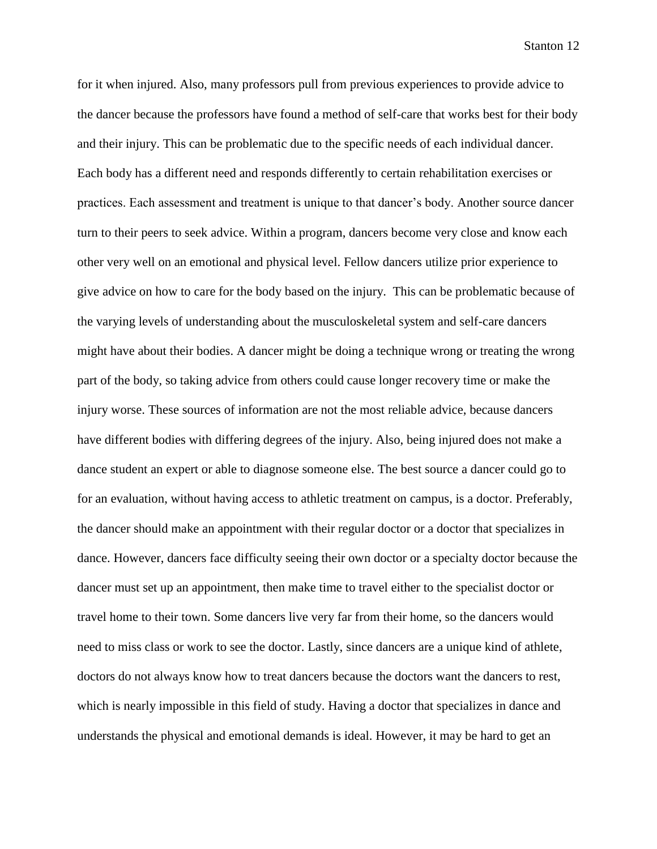for it when injured. Also, many professors pull from previous experiences to provide advice to the dancer because the professors have found a method of self-care that works best for their body and their injury. This can be problematic due to the specific needs of each individual dancer. Each body has a different need and responds differently to certain rehabilitation exercises or practices. Each assessment and treatment is unique to that dancer's body. Another source dancer turn to their peers to seek advice. Within a program, dancers become very close and know each other very well on an emotional and physical level. Fellow dancers utilize prior experience to give advice on how to care for the body based on the injury. This can be problematic because of the varying levels of understanding about the musculoskeletal system and self-care dancers might have about their bodies. A dancer might be doing a technique wrong or treating the wrong part of the body, so taking advice from others could cause longer recovery time or make the injury worse. These sources of information are not the most reliable advice, because dancers have different bodies with differing degrees of the injury. Also, being injured does not make a dance student an expert or able to diagnose someone else. The best source a dancer could go to for an evaluation, without having access to athletic treatment on campus, is a doctor. Preferably, the dancer should make an appointment with their regular doctor or a doctor that specializes in dance. However, dancers face difficulty seeing their own doctor or a specialty doctor because the dancer must set up an appointment, then make time to travel either to the specialist doctor or travel home to their town. Some dancers live very far from their home, so the dancers would need to miss class or work to see the doctor. Lastly, since dancers are a unique kind of athlete, doctors do not always know how to treat dancers because the doctors want the dancers to rest, which is nearly impossible in this field of study. Having a doctor that specializes in dance and understands the physical and emotional demands is ideal. However, it may be hard to get an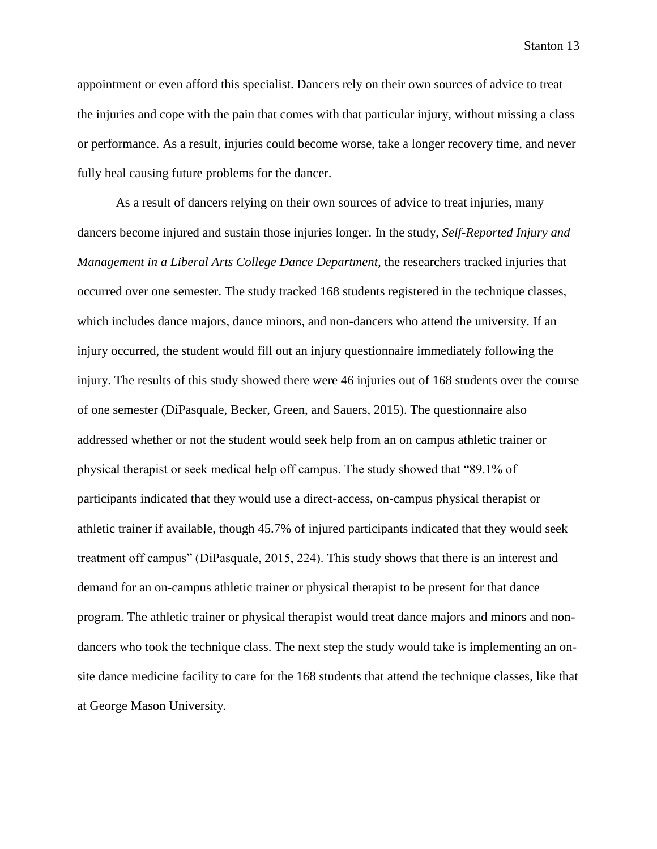appointment or even afford this specialist. Dancers rely on their own sources of advice to treat the injuries and cope with the pain that comes with that particular injury, without missing a class or performance. As a result, injuries could become worse, take a longer recovery time, and never fully heal causing future problems for the dancer.

As a result of dancers relying on their own sources of advice to treat injuries, many dancers become injured and sustain those injuries longer. In the study, *Self-Reported Injury and Management in a Liberal Arts College Dance Department,* the researchers tracked injuries that occurred over one semester. The study tracked 168 students registered in the technique classes, which includes dance majors, dance minors, and non-dancers who attend the university. If an injury occurred, the student would fill out an injury questionnaire immediately following the injury. The results of this study showed there were 46 injuries out of 168 students over the course of one semester (DiPasquale, Becker, Green, and Sauers, 2015). The questionnaire also addressed whether or not the student would seek help from an on campus athletic trainer or physical therapist or seek medical help off campus. The study showed that "89.1% of participants indicated that they would use a direct-access, on-campus physical therapist or athletic trainer if available, though 45.7% of injured participants indicated that they would seek treatment off campus" (DiPasquale, 2015, 224). This study shows that there is an interest and demand for an on-campus athletic trainer or physical therapist to be present for that dance program. The athletic trainer or physical therapist would treat dance majors and minors and nondancers who took the technique class. The next step the study would take is implementing an onsite dance medicine facility to care for the 168 students that attend the technique classes, like that at George Mason University.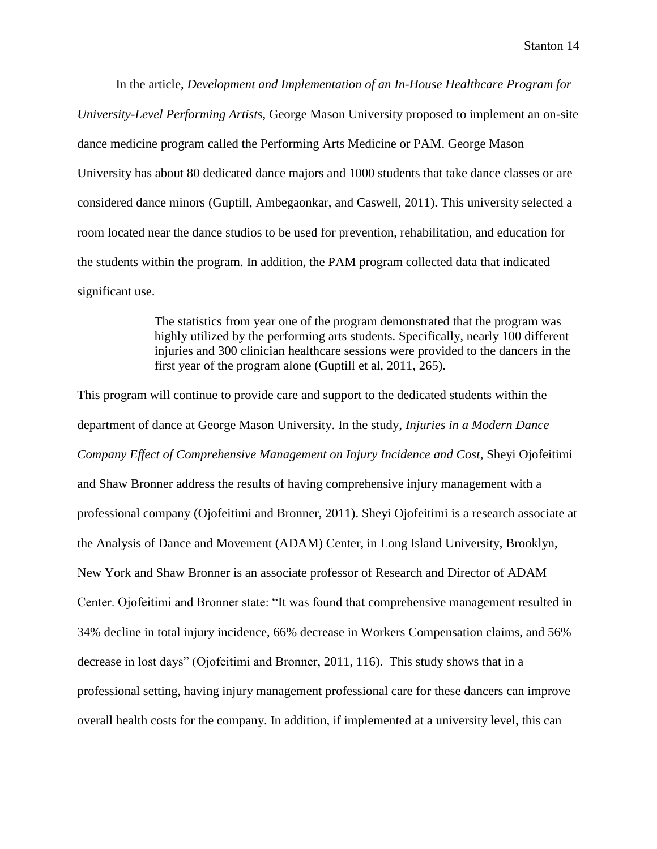In the article, *Development and Implementation of an In-House Healthcare Program for University-Level Performing Artists*, George Mason University proposed to implement an on-site dance medicine program called the Performing Arts Medicine or PAM. George Mason University has about 80 dedicated dance majors and 1000 students that take dance classes or are considered dance minors (Guptill, Ambegaonkar, and Caswell, 2011). This university selected a room located near the dance studios to be used for prevention, rehabilitation, and education for the students within the program. In addition, the PAM program collected data that indicated significant use.

> The statistics from year one of the program demonstrated that the program was highly utilized by the performing arts students. Specifically, nearly 100 different injuries and 300 clinician healthcare sessions were provided to the dancers in the first year of the program alone (Guptill et al, 2011, 265).

This program will continue to provide care and support to the dedicated students within the department of dance at George Mason University. In the study, *Injuries in a Modern Dance Company Effect of Comprehensive Management on Injury Incidence and Cost*, Sheyi Ojofeitimi and Shaw Bronner address the results of having comprehensive injury management with a professional company (Ojofeitimi and Bronner, 2011). Sheyi Ojofeitimi is a research associate at the Analysis of Dance and Movement (ADAM) Center, in Long Island University, Brooklyn, New York and Shaw Bronner is an associate professor of Research and Director of ADAM Center. Ojofeitimi and Bronner state: "It was found that comprehensive management resulted in 34% decline in total injury incidence, 66% decrease in Workers Compensation claims, and 56% decrease in lost days" (Ojofeitimi and Bronner, 2011, 116). This study shows that in a professional setting, having injury management professional care for these dancers can improve overall health costs for the company. In addition, if implemented at a university level, this can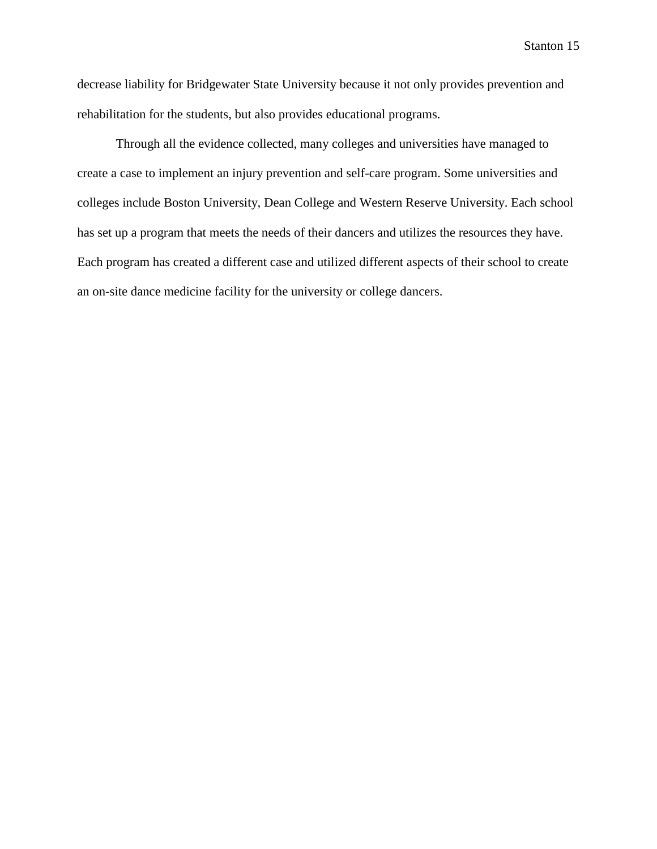decrease liability for Bridgewater State University because it not only provides prevention and rehabilitation for the students, but also provides educational programs.

Through all the evidence collected, many colleges and universities have managed to create a case to implement an injury prevention and self-care program. Some universities and colleges include Boston University, Dean College and Western Reserve University. Each school has set up a program that meets the needs of their dancers and utilizes the resources they have. Each program has created a different case and utilized different aspects of their school to create an on-site dance medicine facility for the university or college dancers.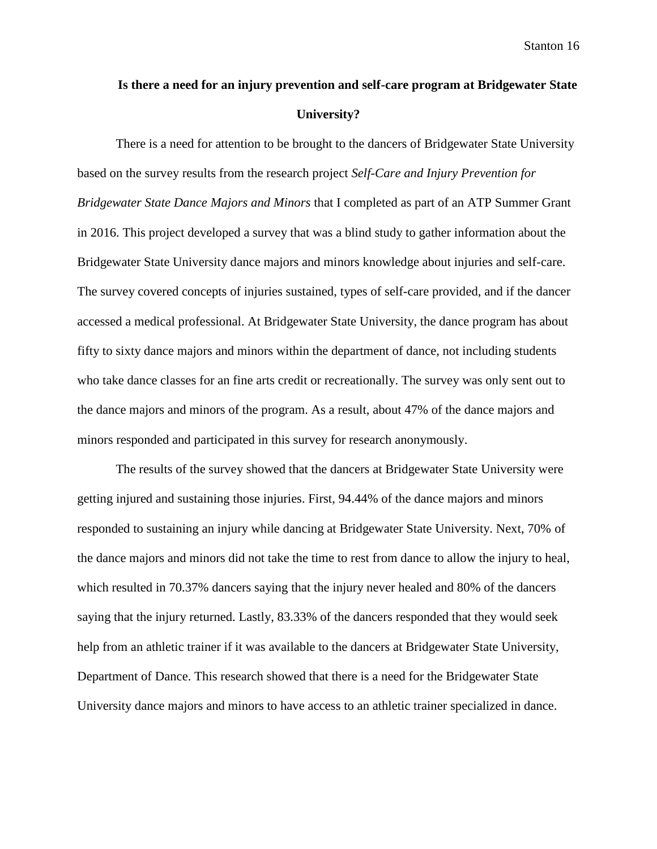# **Is there a need for an injury prevention and self-care program at Bridgewater State University?**

There is a need for attention to be brought to the dancers of Bridgewater State University based on the survey results from the research project *Self-Care and Injury Prevention for Bridgewater State Dance Majors and Minors* that I completed as part of an ATP Summer Grant in 2016. This project developed a survey that was a blind study to gather information about the Bridgewater State University dance majors and minors knowledge about injuries and self-care. The survey covered concepts of injuries sustained, types of self-care provided, and if the dancer accessed a medical professional. At Bridgewater State University, the dance program has about fifty to sixty dance majors and minors within the department of dance, not including students who take dance classes for an fine arts credit or recreationally. The survey was only sent out to the dance majors and minors of the program. As a result, about 47% of the dance majors and minors responded and participated in this survey for research anonymously.

The results of the survey showed that the dancers at Bridgewater State University were getting injured and sustaining those injuries. First, 94.44% of the dance majors and minors responded to sustaining an injury while dancing at Bridgewater State University. Next, 70% of the dance majors and minors did not take the time to rest from dance to allow the injury to heal, which resulted in 70.37% dancers saying that the injury never healed and 80% of the dancers saying that the injury returned. Lastly, 83.33% of the dancers responded that they would seek help from an athletic trainer if it was available to the dancers at Bridgewater State University, Department of Dance. This research showed that there is a need for the Bridgewater State University dance majors and minors to have access to an athletic trainer specialized in dance.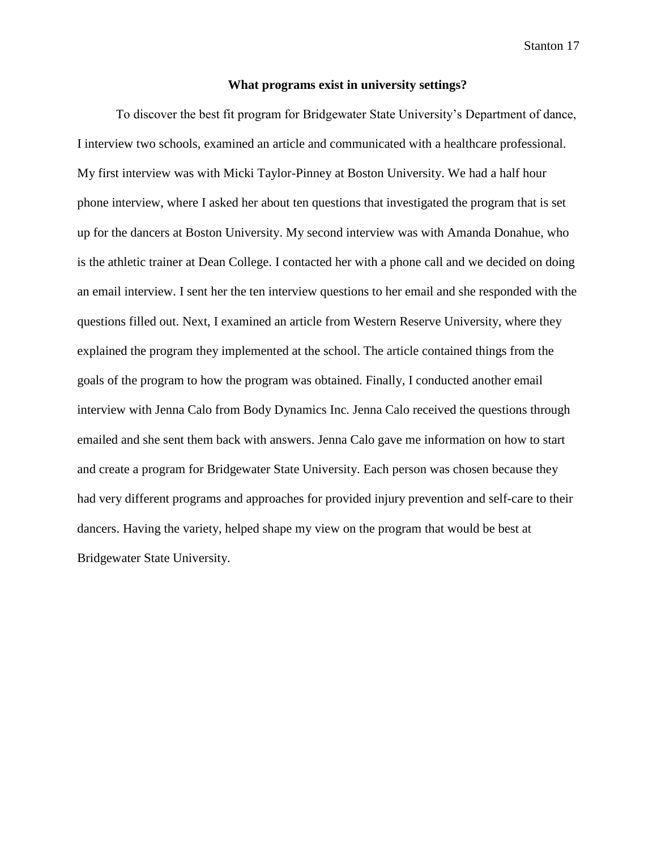#### **What programs exist in university settings?**

To discover the best fit program for Bridgewater State University's Department of dance, I interview two schools, examined an article and communicated with a healthcare professional. My first interview was with Micki Taylor-Pinney at Boston University. We had a half hour phone interview, where I asked her about ten questions that investigated the program that is set up for the dancers at Boston University. My second interview was with Amanda Donahue, who is the athletic trainer at Dean College. I contacted her with a phone call and we decided on doing an email interview. I sent her the ten interview questions to her email and she responded with the questions filled out. Next, I examined an article from Western Reserve University, where they explained the program they implemented at the school. The article contained things from the goals of the program to how the program was obtained. Finally, I conducted another email interview with Jenna Calo from Body Dynamics Inc. Jenna Calo received the questions through emailed and she sent them back with answers. Jenna Calo gave me information on how to start and create a program for Bridgewater State University. Each person was chosen because they had very different programs and approaches for provided injury prevention and self-care to their dancers. Having the variety, helped shape my view on the program that would be best at Bridgewater State University.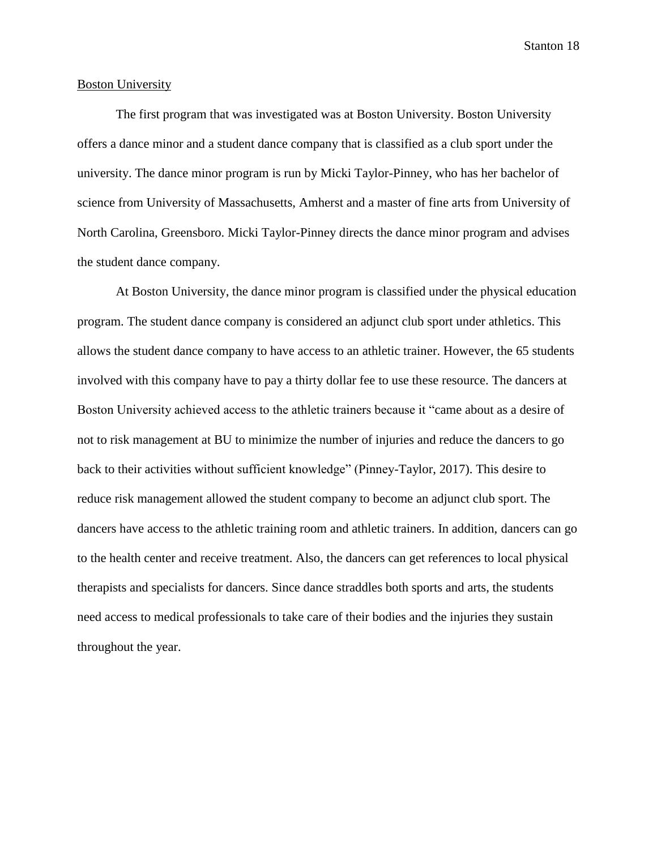#### Boston University

The first program that was investigated was at Boston University. Boston University offers a dance minor and a student dance company that is classified as a club sport under the university. The dance minor program is run by Micki Taylor-Pinney, who has her bachelor of science from University of Massachusetts, Amherst and a master of fine arts from University of North Carolina, Greensboro. Micki Taylor-Pinney directs the dance minor program and advises the student dance company.

At Boston University, the dance minor program is classified under the physical education program. The student dance company is considered an adjunct club sport under athletics. This allows the student dance company to have access to an athletic trainer. However, the 65 students involved with this company have to pay a thirty dollar fee to use these resource. The dancers at Boston University achieved access to the athletic trainers because it "came about as a desire of not to risk management at BU to minimize the number of injuries and reduce the dancers to go back to their activities without sufficient knowledge" (Pinney-Taylor, 2017). This desire to reduce risk management allowed the student company to become an adjunct club sport. The dancers have access to the athletic training room and athletic trainers. In addition, dancers can go to the health center and receive treatment. Also, the dancers can get references to local physical therapists and specialists for dancers. Since dance straddles both sports and arts, the students need access to medical professionals to take care of their bodies and the injuries they sustain throughout the year.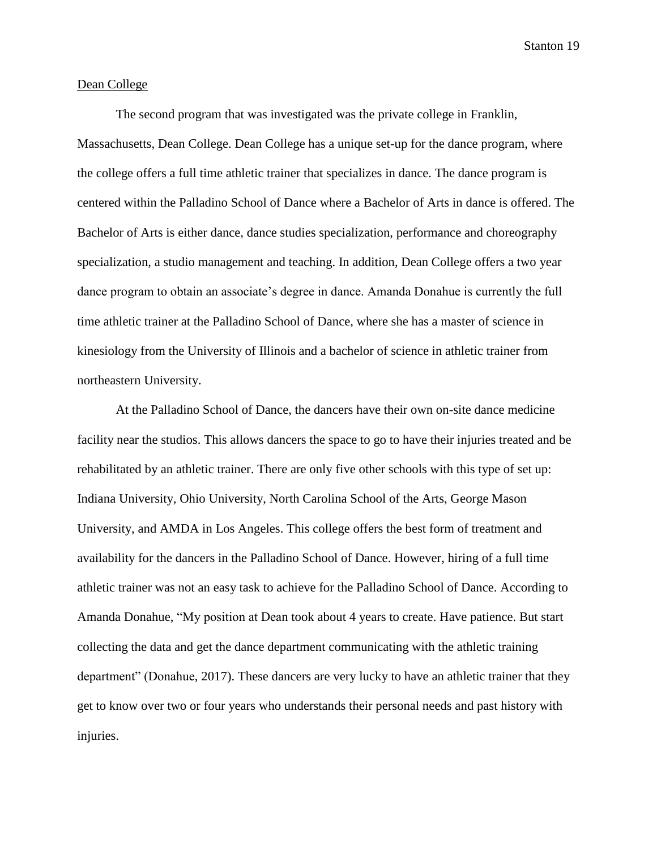#### Dean College

The second program that was investigated was the private college in Franklin, Massachusetts, Dean College. Dean College has a unique set-up for the dance program, where the college offers a full time athletic trainer that specializes in dance. The dance program is centered within the Palladino School of Dance where a Bachelor of Arts in dance is offered. The Bachelor of Arts is either dance, dance studies specialization, performance and choreography specialization, a studio management and teaching. In addition, Dean College offers a two year dance program to obtain an associate's degree in dance. Amanda Donahue is currently the full time athletic trainer at the Palladino School of Dance, where she has a master of science in kinesiology from the University of Illinois and a bachelor of science in athletic trainer from northeastern University.

At the Palladino School of Dance, the dancers have their own on-site dance medicine facility near the studios. This allows dancers the space to go to have their injuries treated and be rehabilitated by an athletic trainer. There are only five other schools with this type of set up: Indiana University, Ohio University, North Carolina School of the Arts, George Mason University, and AMDA in Los Angeles. This college offers the best form of treatment and availability for the dancers in the Palladino School of Dance. However, hiring of a full time athletic trainer was not an easy task to achieve for the Palladino School of Dance. According to Amanda Donahue, "My position at Dean took about 4 years to create. Have patience. But start collecting the data and get the dance department communicating with the athletic training department" (Donahue, 2017). These dancers are very lucky to have an athletic trainer that they get to know over two or four years who understands their personal needs and past history with injuries.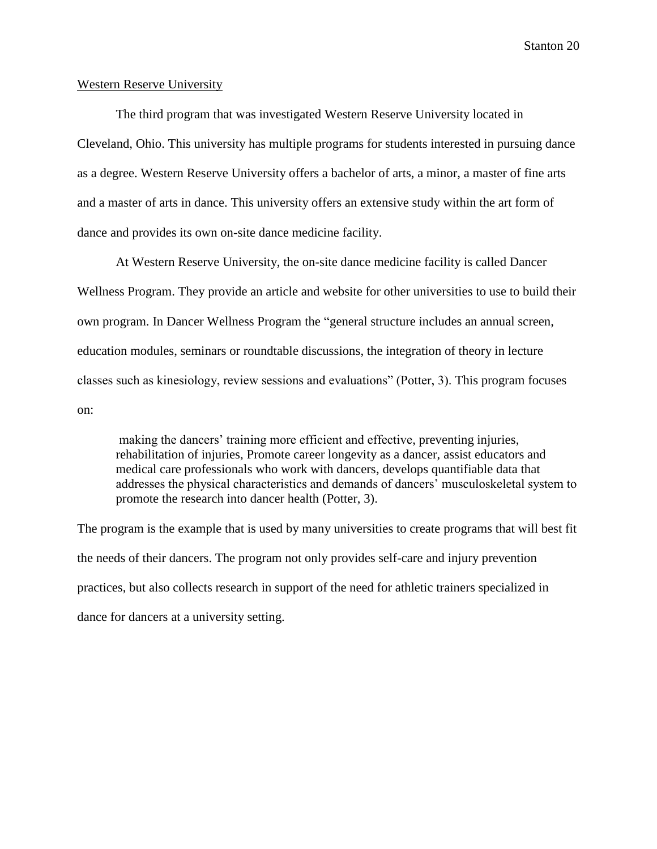#### Western Reserve University

The third program that was investigated Western Reserve University located in Cleveland, Ohio. This university has multiple programs for students interested in pursuing dance as a degree. Western Reserve University offers a bachelor of arts, a minor, a master of fine arts and a master of arts in dance. This university offers an extensive study within the art form of dance and provides its own on-site dance medicine facility.

At Western Reserve University, the on-site dance medicine facility is called Dancer Wellness Program. They provide an article and website for other universities to use to build their own program. In Dancer Wellness Program the "general structure includes an annual screen, education modules, seminars or roundtable discussions, the integration of theory in lecture classes such as kinesiology, review sessions and evaluations" (Potter, 3). This program focuses on:

making the dancers' training more efficient and effective, preventing injuries, rehabilitation of injuries, Promote career longevity as a dancer, assist educators and medical care professionals who work with dancers, develops quantifiable data that addresses the physical characteristics and demands of dancers' musculoskeletal system to promote the research into dancer health (Potter, 3).

The program is the example that is used by many universities to create programs that will best fit the needs of their dancers. The program not only provides self-care and injury prevention practices, but also collects research in support of the need for athletic trainers specialized in dance for dancers at a university setting.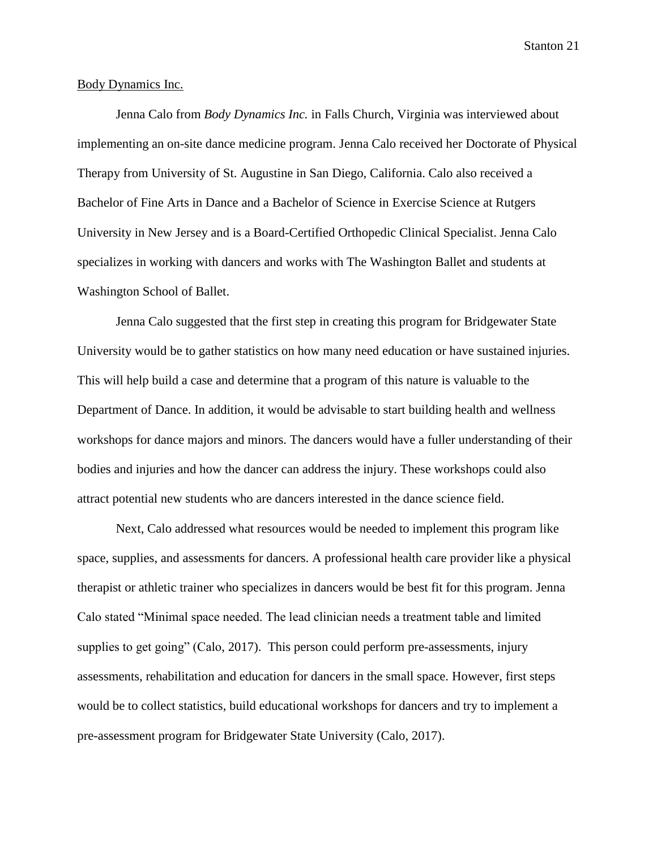#### Body Dynamics Inc.

Jenna Calo from *Body Dynamics Inc.* in Falls Church, Virginia was interviewed about implementing an on-site dance medicine program. Jenna Calo received her Doctorate of Physical Therapy from University of St. Augustine in San Diego, California. Calo also received a Bachelor of Fine Arts in Dance and a Bachelor of Science in Exercise Science at Rutgers University in New Jersey and is a Board-Certified Orthopedic Clinical Specialist. Jenna Calo specializes in working with dancers and works with The Washington Ballet and students at Washington School of Ballet.

Jenna Calo suggested that the first step in creating this program for Bridgewater State University would be to gather statistics on how many need education or have sustained injuries. This will help build a case and determine that a program of this nature is valuable to the Department of Dance. In addition, it would be advisable to start building health and wellness workshops for dance majors and minors. The dancers would have a fuller understanding of their bodies and injuries and how the dancer can address the injury. These workshops could also attract potential new students who are dancers interested in the dance science field.

Next, Calo addressed what resources would be needed to implement this program like space, supplies, and assessments for dancers. A professional health care provider like a physical therapist or athletic trainer who specializes in dancers would be best fit for this program. Jenna Calo stated "Minimal space needed. The lead clinician needs a treatment table and limited supplies to get going" (Calo, 2017). This person could perform pre-assessments, injury assessments, rehabilitation and education for dancers in the small space. However, first steps would be to collect statistics, build educational workshops for dancers and try to implement a pre-assessment program for Bridgewater State University (Calo, 2017).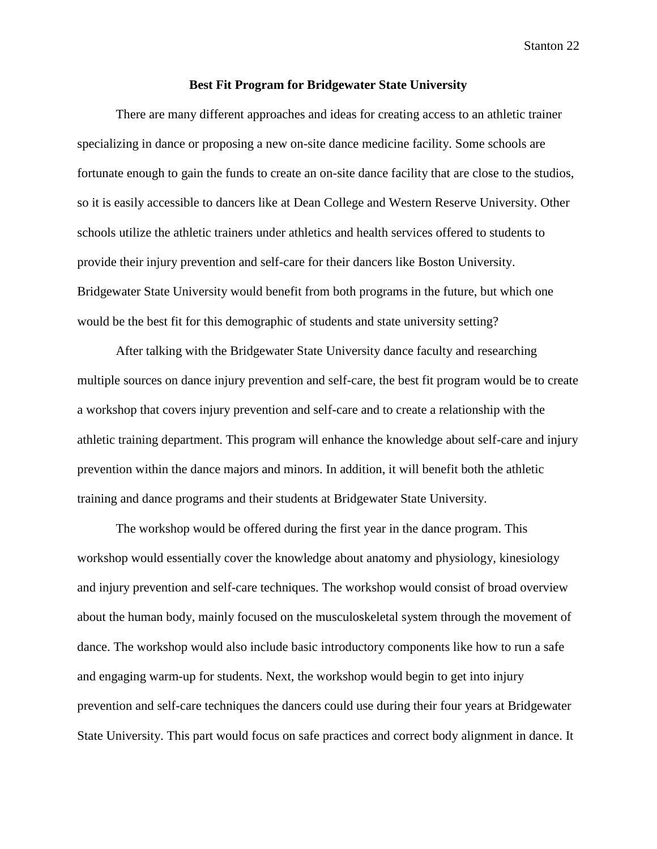#### **Best Fit Program for Bridgewater State University**

There are many different approaches and ideas for creating access to an athletic trainer specializing in dance or proposing a new on-site dance medicine facility. Some schools are fortunate enough to gain the funds to create an on-site dance facility that are close to the studios, so it is easily accessible to dancers like at Dean College and Western Reserve University. Other schools utilize the athletic trainers under athletics and health services offered to students to provide their injury prevention and self-care for their dancers like Boston University. Bridgewater State University would benefit from both programs in the future, but which one would be the best fit for this demographic of students and state university setting?

After talking with the Bridgewater State University dance faculty and researching multiple sources on dance injury prevention and self-care, the best fit program would be to create a workshop that covers injury prevention and self-care and to create a relationship with the athletic training department. This program will enhance the knowledge about self-care and injury prevention within the dance majors and minors. In addition, it will benefit both the athletic training and dance programs and their students at Bridgewater State University.

The workshop would be offered during the first year in the dance program. This workshop would essentially cover the knowledge about anatomy and physiology, kinesiology and injury prevention and self-care techniques. The workshop would consist of broad overview about the human body, mainly focused on the musculoskeletal system through the movement of dance. The workshop would also include basic introductory components like how to run a safe and engaging warm-up for students. Next, the workshop would begin to get into injury prevention and self-care techniques the dancers could use during their four years at Bridgewater State University. This part would focus on safe practices and correct body alignment in dance. It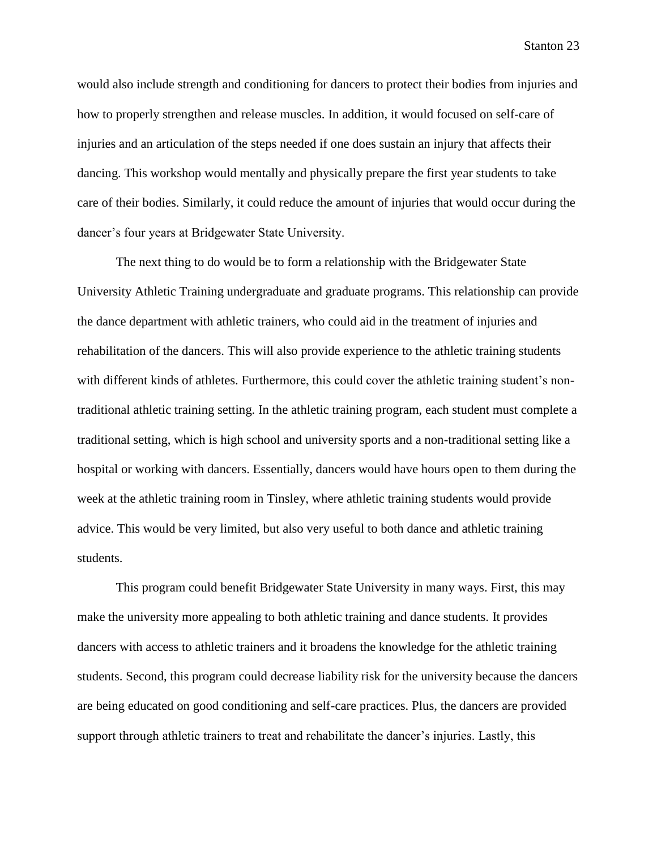would also include strength and conditioning for dancers to protect their bodies from injuries and how to properly strengthen and release muscles. In addition, it would focused on self-care of injuries and an articulation of the steps needed if one does sustain an injury that affects their dancing. This workshop would mentally and physically prepare the first year students to take care of their bodies. Similarly, it could reduce the amount of injuries that would occur during the dancer's four years at Bridgewater State University.

The next thing to do would be to form a relationship with the Bridgewater State University Athletic Training undergraduate and graduate programs. This relationship can provide the dance department with athletic trainers, who could aid in the treatment of injuries and rehabilitation of the dancers. This will also provide experience to the athletic training students with different kinds of athletes. Furthermore, this could cover the athletic training student's nontraditional athletic training setting. In the athletic training program, each student must complete a traditional setting, which is high school and university sports and a non-traditional setting like a hospital or working with dancers. Essentially, dancers would have hours open to them during the week at the athletic training room in Tinsley, where athletic training students would provide advice. This would be very limited, but also very useful to both dance and athletic training students.

This program could benefit Bridgewater State University in many ways. First, this may make the university more appealing to both athletic training and dance students. It provides dancers with access to athletic trainers and it broadens the knowledge for the athletic training students. Second, this program could decrease liability risk for the university because the dancers are being educated on good conditioning and self-care practices. Plus, the dancers are provided support through athletic trainers to treat and rehabilitate the dancer's injuries. Lastly, this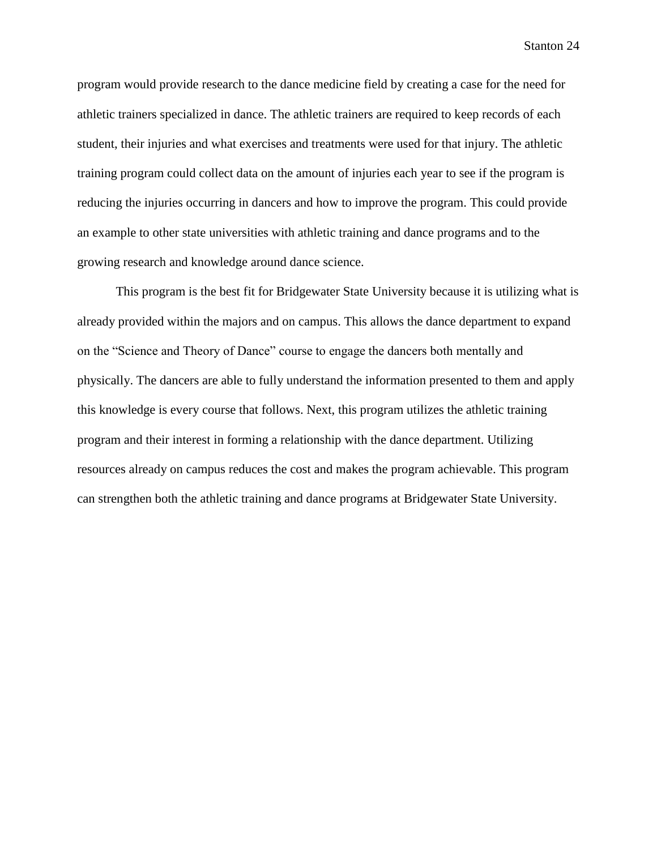program would provide research to the dance medicine field by creating a case for the need for athletic trainers specialized in dance. The athletic trainers are required to keep records of each student, their injuries and what exercises and treatments were used for that injury. The athletic training program could collect data on the amount of injuries each year to see if the program is reducing the injuries occurring in dancers and how to improve the program. This could provide an example to other state universities with athletic training and dance programs and to the growing research and knowledge around dance science.

This program is the best fit for Bridgewater State University because it is utilizing what is already provided within the majors and on campus. This allows the dance department to expand on the "Science and Theory of Dance" course to engage the dancers both mentally and physically. The dancers are able to fully understand the information presented to them and apply this knowledge is every course that follows. Next, this program utilizes the athletic training program and their interest in forming a relationship with the dance department. Utilizing resources already on campus reduces the cost and makes the program achievable. This program can strengthen both the athletic training and dance programs at Bridgewater State University.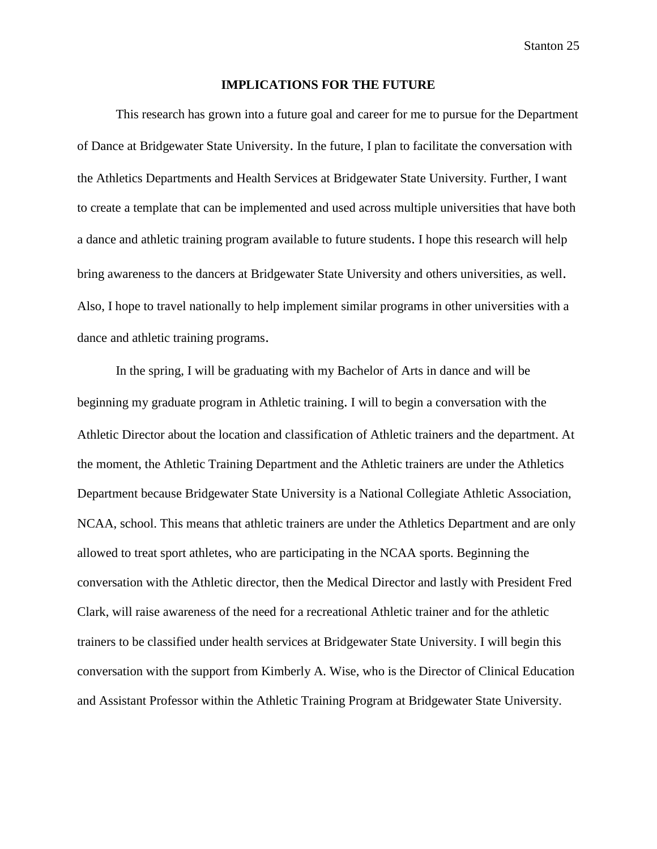#### **IMPLICATIONS FOR THE FUTURE**

This research has grown into a future goal and career for me to pursue for the Department of Dance at Bridgewater State University. In the future, I plan to facilitate the conversation with the Athletics Departments and Health Services at Bridgewater State University. Further, I want to create a template that can be implemented and used across multiple universities that have both a dance and athletic training program available to future students. I hope this research will help bring awareness to the dancers at Bridgewater State University and others universities, as well. Also, I hope to travel nationally to help implement similar programs in other universities with a dance and athletic training programs.

In the spring, I will be graduating with my Bachelor of Arts in dance and will be beginning my graduate program in Athletic training. I will to begin a conversation with the Athletic Director about the location and classification of Athletic trainers and the department. At the moment, the Athletic Training Department and the Athletic trainers are under the Athletics Department because Bridgewater State University is a National Collegiate Athletic Association, NCAA, school. This means that athletic trainers are under the Athletics Department and are only allowed to treat sport athletes, who are participating in the NCAA sports. Beginning the conversation with the Athletic director, then the Medical Director and lastly with President Fred Clark, will raise awareness of the need for a recreational Athletic trainer and for the athletic trainers to be classified under health services at Bridgewater State University. I will begin this conversation with the support from Kimberly A. Wise, who is the Director of Clinical Education and Assistant Professor within the Athletic Training Program at Bridgewater State University.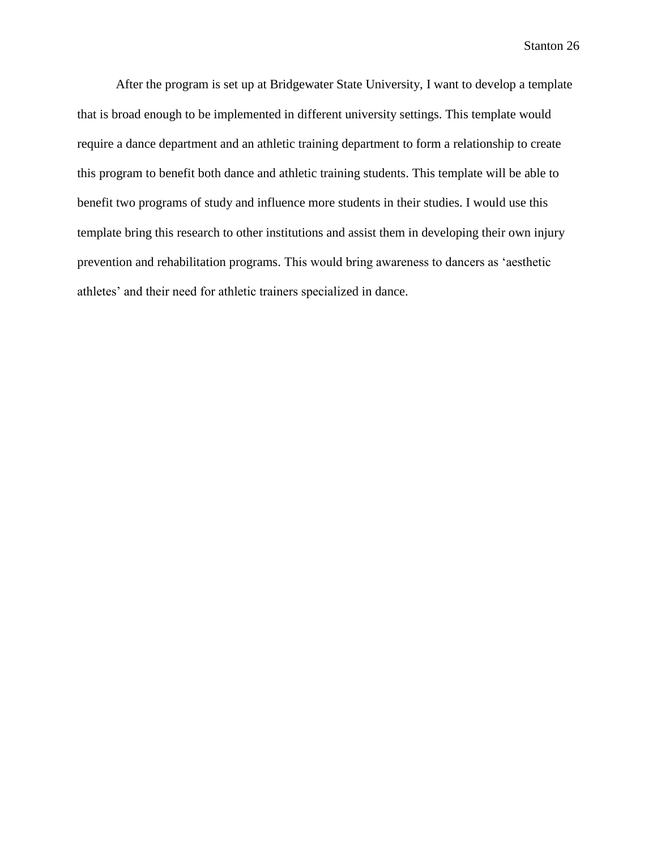After the program is set up at Bridgewater State University, I want to develop a template that is broad enough to be implemented in different university settings. This template would require a dance department and an athletic training department to form a relationship to create this program to benefit both dance and athletic training students. This template will be able to benefit two programs of study and influence more students in their studies. I would use this template bring this research to other institutions and assist them in developing their own injury prevention and rehabilitation programs. This would bring awareness to dancers as 'aesthetic athletes' and their need for athletic trainers specialized in dance.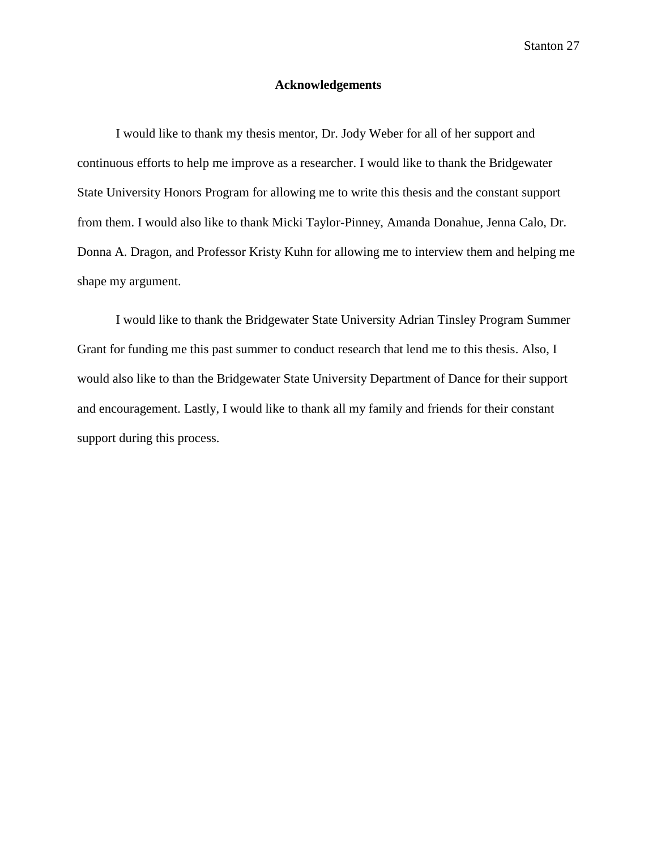#### **Acknowledgements**

I would like to thank my thesis mentor, Dr. Jody Weber for all of her support and continuous efforts to help me improve as a researcher. I would like to thank the Bridgewater State University Honors Program for allowing me to write this thesis and the constant support from them. I would also like to thank Micki Taylor-Pinney, Amanda Donahue, Jenna Calo, Dr. Donna A. Dragon, and Professor Kristy Kuhn for allowing me to interview them and helping me shape my argument.

I would like to thank the Bridgewater State University Adrian Tinsley Program Summer Grant for funding me this past summer to conduct research that lend me to this thesis. Also, I would also like to than the Bridgewater State University Department of Dance for their support and encouragement. Lastly, I would like to thank all my family and friends for their constant support during this process.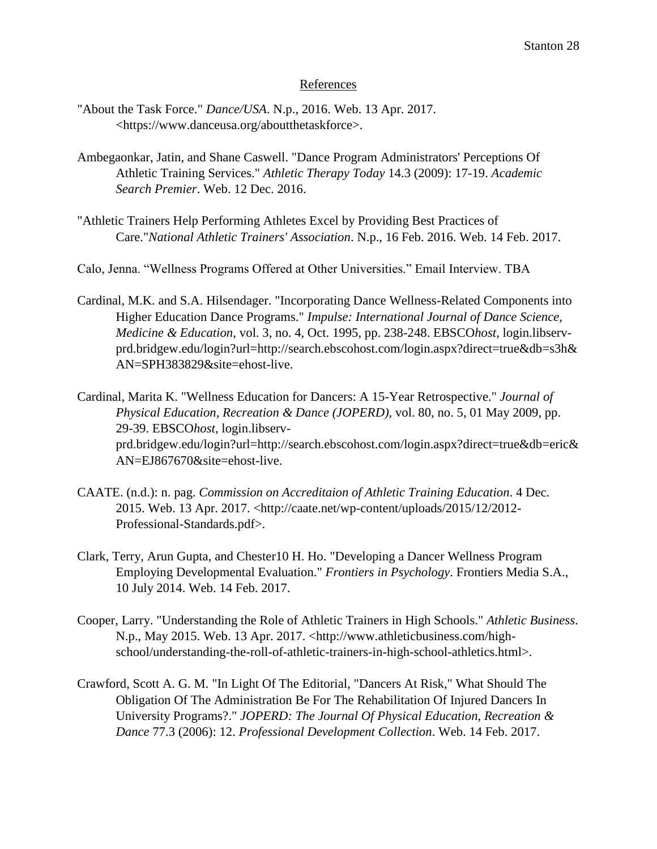### References

- "About the Task Force." *Dance/USA*. N.p., 2016. Web. 13 Apr. 2017. <https://www.danceusa.org/aboutthetaskforce>.
- Ambegaonkar, Jatin, and Shane Caswell. "Dance Program Administrators' Perceptions Of Athletic Training Services." *Athletic Therapy Today* 14.3 (2009): 17-19. *Academic Search Premier*. Web. 12 Dec. 2016.
- "Athletic Trainers Help Performing Athletes Excel by Providing Best Practices of Care."*National Athletic Trainers' Association*. N.p., 16 Feb. 2016. Web. 14 Feb. 2017.
- Calo, Jenna. "Wellness Programs Offered at Other Universities." Email Interview. TBA
- Cardinal, M.K. and S.A. Hilsendager. "Incorporating Dance Wellness-Related Components into Higher Education Dance Programs." *Impulse: International Journal of Dance Science, Medicine & Education*, vol. 3, no. 4, Oct. 1995, pp. 238-248. EBSCO*host*, login.libservprd.bridgew.edu/login?url=http://search.ebscohost.com/login.aspx?direct=true&db=s3h& AN=SPH383829&site=ehost-live.
- Cardinal, Marita K. "Wellness Education for Dancers: A 15-Year Retrospective." *Journal of Physical Education, Recreation & Dance (JOPERD)*, vol. 80, no. 5, 01 May 2009, pp. 29-39. EBSCO*host*, login.libservprd.bridgew.edu/login?url=http://search.ebscohost.com/login.aspx?direct=true&db=eric& AN=EJ867670&site=ehost-live.
- CAATE. (n.d.): n. pag. *Commission on Accreditaion of Athletic Training Education*. 4 Dec. 2015. Web. 13 Apr. 2017. <http://caate.net/wp-content/uploads/2015/12/2012- Professional-Standards.pdf>.
- Clark, Terry, Arun Gupta, and Chester10 H. Ho. "Developing a Dancer Wellness Program Employing Developmental Evaluation." *Frontiers in Psychology*. Frontiers Media S.A., 10 July 2014. Web. 14 Feb. 2017.
- Cooper, Larry. "Understanding the Role of Athletic Trainers in High Schools." *Athletic Business*. N.p., May 2015. Web. 13 Apr. 2017. <http://www.athleticbusiness.com/highschool/understanding-the-roll-of-athletic-trainers-in-high-school-athletics.html>.
- Crawford, Scott A. G. M. "In Light Of The Editorial, "Dancers At Risk," What Should The Obligation Of The Administration Be For The Rehabilitation Of Injured Dancers In University Programs?." *JOPERD: The Journal Of Physical Education, Recreation & Dance* 77.3 (2006): 12. *Professional Development Collection*. Web. 14 Feb. 2017.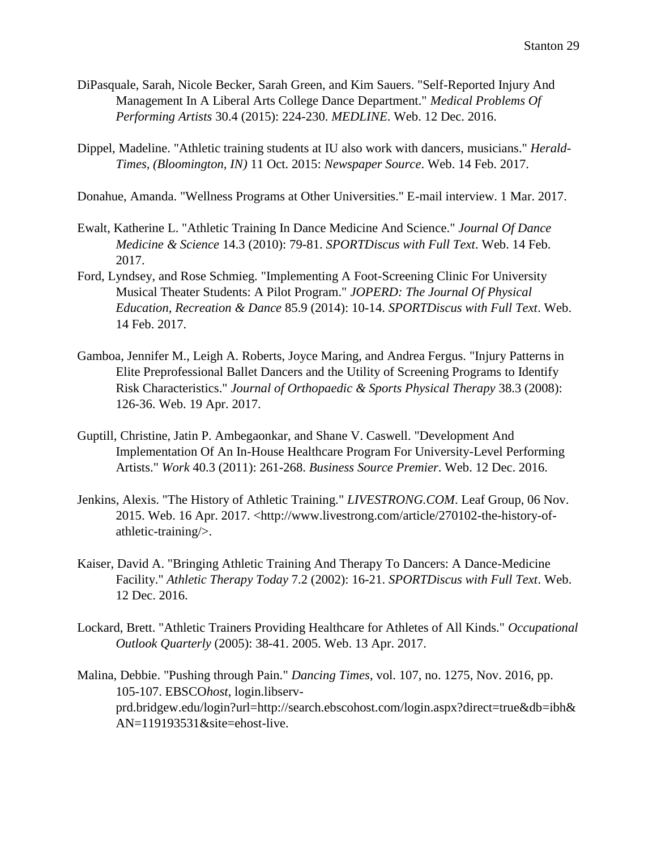- DiPasquale, Sarah, Nicole Becker, Sarah Green, and Kim Sauers. "Self-Reported Injury And Management In A Liberal Arts College Dance Department." *Medical Problems Of Performing Artists* 30.4 (2015): 224-230. *MEDLINE*. Web. 12 Dec. 2016.
- Dippel, Madeline. "Athletic training students at IU also work with dancers, musicians." *Herald-Times, (Bloomington, IN)* 11 Oct. 2015: *Newspaper Source*. Web. 14 Feb. 2017.
- Donahue, Amanda. "Wellness Programs at Other Universities." E-mail interview. 1 Mar. 2017.
- Ewalt, Katherine L. "Athletic Training In Dance Medicine And Science." *Journal Of Dance Medicine & Science* 14.3 (2010): 79-81. *SPORTDiscus with Full Text*. Web. 14 Feb. 2017.
- Ford, Lyndsey, and Rose Schmieg. "Implementing A Foot-Screening Clinic For University Musical Theater Students: A Pilot Program." *JOPERD: The Journal Of Physical Education, Recreation & Dance* 85.9 (2014): 10-14. *SPORTDiscus with Full Text*. Web. 14 Feb. 2017.
- Gamboa, Jennifer M., Leigh A. Roberts, Joyce Maring, and Andrea Fergus. "Injury Patterns in Elite Preprofessional Ballet Dancers and the Utility of Screening Programs to Identify Risk Characteristics." *Journal of Orthopaedic & Sports Physical Therapy* 38.3 (2008): 126-36. Web. 19 Apr. 2017.
- Guptill, Christine, Jatin P. Ambegaonkar, and Shane V. Caswell. "Development And Implementation Of An In-House Healthcare Program For University-Level Performing Artists." *Work* 40.3 (2011): 261-268. *Business Source Premier*. Web. 12 Dec. 2016.
- Jenkins, Alexis. "The History of Athletic Training." *LIVESTRONG.COM*. Leaf Group, 06 Nov. 2015. Web. 16 Apr. 2017. <http://www.livestrong.com/article/270102-the-history-ofathletic-training/>.
- Kaiser, David A. "Bringing Athletic Training And Therapy To Dancers: A Dance-Medicine Facility." *Athletic Therapy Today* 7.2 (2002): 16-21. *SPORTDiscus with Full Text*. Web. 12 Dec. 2016.
- Lockard, Brett. "Athletic Trainers Providing Healthcare for Athletes of All Kinds." *Occupational Outlook Quarterly* (2005): 38-41. 2005. Web. 13 Apr. 2017.
- Malina, Debbie. "Pushing through Pain." *Dancing Times*, vol. 107, no. 1275, Nov. 2016, pp. 105-107. EBSCO*host*, login.libservprd.bridgew.edu/login?url=http://search.ebscohost.com/login.aspx?direct=true&db=ibh& AN=119193531&site=ehost-live.